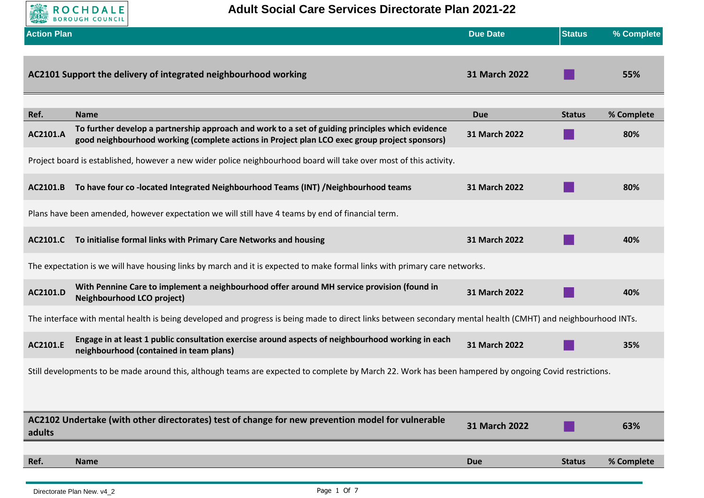

**Adult Social Care Services Directorate Plan 2021-22**

| <b>Action Plan</b>                                                                                                                                            |                                                                                                                                                                                                   | <b>Due Date</b> | <b>Status</b> | % Complete |  |
|---------------------------------------------------------------------------------------------------------------------------------------------------------------|---------------------------------------------------------------------------------------------------------------------------------------------------------------------------------------------------|-----------------|---------------|------------|--|
|                                                                                                                                                               | AC2101 Support the delivery of integrated neighbourhood working                                                                                                                                   | 31 March 2022   |               | 55%        |  |
| Ref.                                                                                                                                                          | <b>Name</b>                                                                                                                                                                                       | <b>Due</b>      | <b>Status</b> | % Complete |  |
| AC2101.A                                                                                                                                                      | To further develop a partnership approach and work to a set of guiding principles which evidence<br>good neighbourhood working (complete actions in Project plan LCO exec group project sponsors) | 31 March 2022   |               | 80%        |  |
|                                                                                                                                                               | Project board is established, however a new wider police neighbourhood board will take over most of this activity.                                                                                |                 |               |            |  |
| AC2101.B                                                                                                                                                      | To have four co-located Integrated Neighbourhood Teams (INT) /Neighbourhood teams                                                                                                                 | 31 March 2022   |               | 80%        |  |
|                                                                                                                                                               | Plans have been amended, however expectation we will still have 4 teams by end of financial term.                                                                                                 |                 |               |            |  |
| AC2101.C                                                                                                                                                      | To initialise formal links with Primary Care Networks and housing                                                                                                                                 | 31 March 2022   |               | 40%        |  |
| The expectation is we will have housing links by march and it is expected to make formal links with primary care networks.                                    |                                                                                                                                                                                                   |                 |               |            |  |
| AC2101.D                                                                                                                                                      | With Pennine Care to implement a neighbourhood offer around MH service provision (found in<br><b>Neighbourhood LCO project)</b>                                                                   | 31 March 2022   |               | 40%        |  |
| The interface with mental health is being developed and progress is being made to direct links between secondary mental health (CMHT) and neighbourhood INTs. |                                                                                                                                                                                                   |                 |               |            |  |
| AC2101.E                                                                                                                                                      | Engage in at least 1 public consultation exercise around aspects of neighbourhood working in each<br>neighbourhood (contained in team plans)                                                      | 31 March 2022   |               | 35%        |  |
| Still developments to be made around this, although teams are expected to complete by March 22. Work has been hampered by ongoing Covid restrictions.         |                                                                                                                                                                                                   |                 |               |            |  |
|                                                                                                                                                               |                                                                                                                                                                                                   |                 |               |            |  |
| adults                                                                                                                                                        | AC2102 Undertake (with other directorates) test of change for new prevention model for vulnerable                                                                                                 | 31 March 2022   |               | 63%        |  |
|                                                                                                                                                               |                                                                                                                                                                                                   |                 |               |            |  |
| Ref.                                                                                                                                                          | <b>Name</b>                                                                                                                                                                                       | <b>Due</b>      | <b>Status</b> | % Complete |  |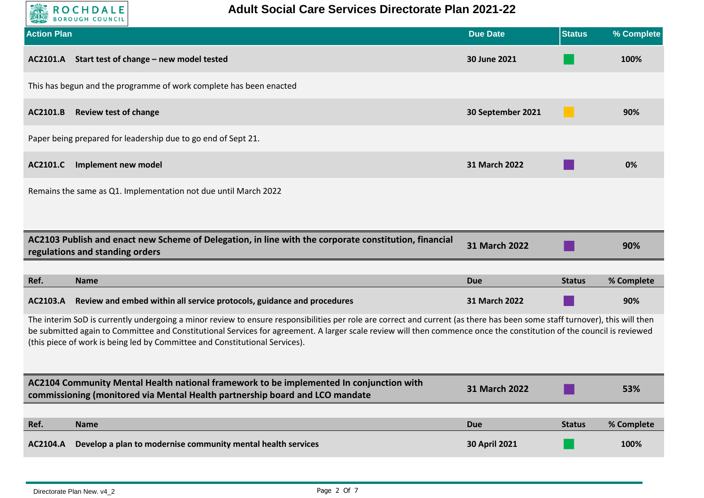

| <b>Action Plan</b>                                                                                                                                                                                                                                                                                                                                                                                                                |                                                                                                                                                                         | <b>Due Date</b>      | <b>Status</b> | % Complete |
|-----------------------------------------------------------------------------------------------------------------------------------------------------------------------------------------------------------------------------------------------------------------------------------------------------------------------------------------------------------------------------------------------------------------------------------|-------------------------------------------------------------------------------------------------------------------------------------------------------------------------|----------------------|---------------|------------|
|                                                                                                                                                                                                                                                                                                                                                                                                                                   | AC2101.A Start test of change - new model tested                                                                                                                        | 30 June 2021         |               | 100%       |
|                                                                                                                                                                                                                                                                                                                                                                                                                                   | This has begun and the programme of work complete has been enacted                                                                                                      |                      |               |            |
| AC2101.B                                                                                                                                                                                                                                                                                                                                                                                                                          | <b>Review test of change</b>                                                                                                                                            | 30 September 2021    |               | 90%        |
|                                                                                                                                                                                                                                                                                                                                                                                                                                   | Paper being prepared for leadership due to go end of Sept 21.                                                                                                           |                      |               |            |
| AC2101.C                                                                                                                                                                                                                                                                                                                                                                                                                          | Implement new model                                                                                                                                                     | 31 March 2022        |               | 0%         |
|                                                                                                                                                                                                                                                                                                                                                                                                                                   | Remains the same as Q1. Implementation not due until March 2022                                                                                                         |                      |               |            |
|                                                                                                                                                                                                                                                                                                                                                                                                                                   |                                                                                                                                                                         |                      |               |            |
|                                                                                                                                                                                                                                                                                                                                                                                                                                   | AC2103 Publish and enact new Scheme of Delegation, in line with the corporate constitution, financial<br>regulations and standing orders                                | <b>31 March 2022</b> |               | 90%        |
|                                                                                                                                                                                                                                                                                                                                                                                                                                   |                                                                                                                                                                         |                      |               |            |
| Ref.                                                                                                                                                                                                                                                                                                                                                                                                                              | <b>Name</b>                                                                                                                                                             | Due                  | <b>Status</b> | % Complete |
| AC2103.A                                                                                                                                                                                                                                                                                                                                                                                                                          | Review and embed within all service protocols, guidance and procedures                                                                                                  | 31 March 2022        |               | 90%        |
| The interim SoD is currently undergoing a minor review to ensure responsibilities per role are correct and current (as there has been some staff turnover), this will then<br>be submitted again to Committee and Constitutional Services for agreement. A larger scale review will then commence once the constitution of the council is reviewed<br>(this piece of work is being led by Committee and Constitutional Services). |                                                                                                                                                                         |                      |               |            |
|                                                                                                                                                                                                                                                                                                                                                                                                                                   | AC2104 Community Mental Health national framework to be implemented In conjunction with<br>commissioning (monitored via Mental Health partnership board and LCO mandate | 31 March 2022        |               | 53%        |
|                                                                                                                                                                                                                                                                                                                                                                                                                                   |                                                                                                                                                                         |                      |               |            |
| Ref.                                                                                                                                                                                                                                                                                                                                                                                                                              | <b>Name</b>                                                                                                                                                             | <b>Due</b>           | <b>Status</b> | % Complete |
| AC2104.A                                                                                                                                                                                                                                                                                                                                                                                                                          | Develop a plan to modernise community mental health services                                                                                                            | <b>30 April 2021</b> |               | 100%       |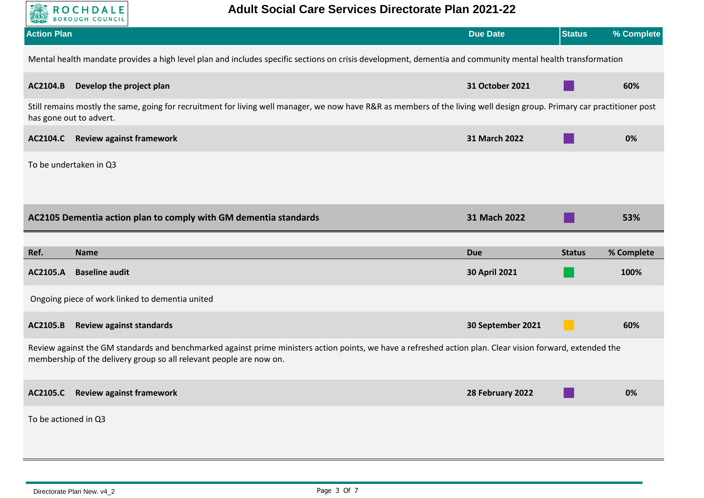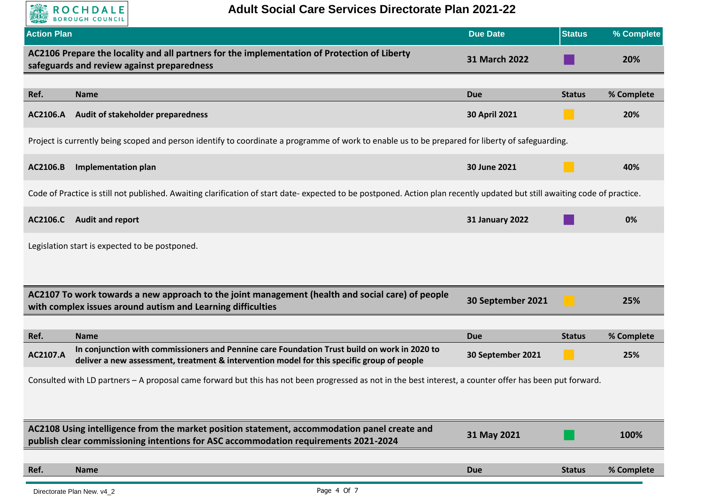

| <b>Action Plan</b> |                                                                                                                                                                                            | <b>Due Date</b>        | <b>Status</b> | % Complete |  |
|--------------------|--------------------------------------------------------------------------------------------------------------------------------------------------------------------------------------------|------------------------|---------------|------------|--|
|                    | AC2106 Prepare the locality and all partners for the implementation of Protection of Liberty<br>safeguards and review against preparedness                                                 | 31 March 2022          |               | 20%        |  |
|                    |                                                                                                                                                                                            |                        |               |            |  |
| Ref.               | <b>Name</b>                                                                                                                                                                                | <b>Due</b>             | <b>Status</b> | % Complete |  |
| <b>AC2106.A</b>    | Audit of stakeholder preparedness                                                                                                                                                          | 30 April 2021          |               | 20%        |  |
|                    | Project is currently being scoped and person identify to coordinate a programme of work to enable us to be prepared for liberty of safeguarding.                                           |                        |               |            |  |
| AC2106.B           | <b>Implementation plan</b>                                                                                                                                                                 | 30 June 2021           |               | 40%        |  |
|                    | Code of Practice is still not published. Awaiting clarification of start date- expected to be postponed. Action plan recently updated but still awaiting code of practice.                 |                        |               |            |  |
| AC2106.C           | <b>Audit and report</b>                                                                                                                                                                    | <b>31 January 2022</b> |               | 0%         |  |
|                    | Legislation start is expected to be postponed.                                                                                                                                             |                        |               |            |  |
|                    |                                                                                                                                                                                            |                        |               |            |  |
|                    | AC2107 To work towards a new approach to the joint management (health and social care) of people<br>with complex issues around autism and Learning difficulties                            | 30 September 2021      |               | 25%        |  |
|                    |                                                                                                                                                                                            |                        |               |            |  |
| Ref.               | <b>Name</b>                                                                                                                                                                                | <b>Due</b>             | <b>Status</b> | % Complete |  |
| AC2107.A           | In conjunction with commissioners and Pennine care Foundation Trust build on work in 2020 to<br>deliver a new assessment, treatment & intervention model for this specific group of people | 30 September 2021      |               | 25%        |  |
|                    | Consulted with LD partners - A proposal came forward but this has not been progressed as not in the best interest, a counter offer has been put forward.                                   |                        |               |            |  |
|                    |                                                                                                                                                                                            |                        |               |            |  |
|                    | AC2108 Using intelligence from the market position statement, accommodation panel create and<br>publish clear commissioning intentions for ASC accommodation requirements 2021-2024        | 31 May 2021            |               | 100%       |  |
|                    |                                                                                                                                                                                            |                        |               |            |  |
| Ref.               | <b>Name</b>                                                                                                                                                                                | <b>Due</b>             | <b>Status</b> | % Complete |  |
|                    |                                                                                                                                                                                            |                        |               |            |  |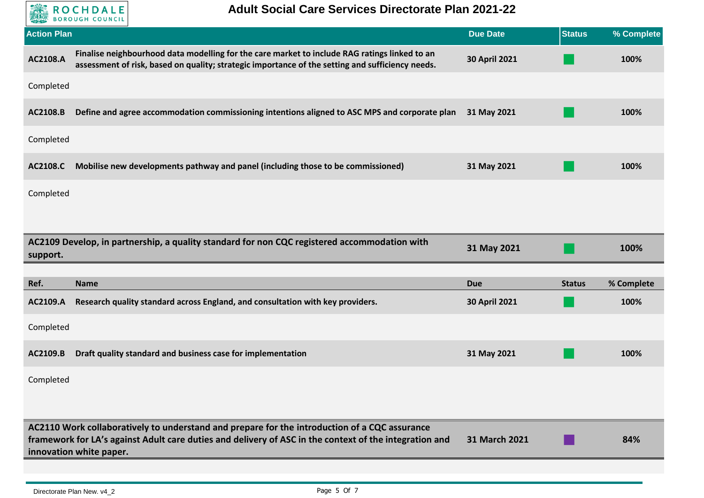**EXERCICHDALE** 

| <b>Action Plan</b>                                                                                                                                                                                                                                                |                                                                                                                                                                                                   | <b>Due Date</b>      | <b>Status</b> | % Complete |
|-------------------------------------------------------------------------------------------------------------------------------------------------------------------------------------------------------------------------------------------------------------------|---------------------------------------------------------------------------------------------------------------------------------------------------------------------------------------------------|----------------------|---------------|------------|
| AC2108.A                                                                                                                                                                                                                                                          | Finalise neighbourhood data modelling for the care market to include RAG ratings linked to an<br>assessment of risk, based on quality; strategic importance of the setting and sufficiency needs. | 30 April 2021        |               | 100%       |
| Completed                                                                                                                                                                                                                                                         |                                                                                                                                                                                                   |                      |               |            |
| AC2108.B                                                                                                                                                                                                                                                          | Define and agree accommodation commissioning intentions aligned to ASC MPS and corporate plan                                                                                                     | 31 May 2021          |               | 100%       |
| Completed                                                                                                                                                                                                                                                         |                                                                                                                                                                                                   |                      |               |            |
| AC2108.C                                                                                                                                                                                                                                                          | Mobilise new developments pathway and panel (including those to be commissioned)                                                                                                                  | 31 May 2021          |               | 100%       |
| Completed                                                                                                                                                                                                                                                         |                                                                                                                                                                                                   |                      |               |            |
|                                                                                                                                                                                                                                                                   |                                                                                                                                                                                                   |                      |               |            |
| support.                                                                                                                                                                                                                                                          | AC2109 Develop, in partnership, a quality standard for non CQC registered accommodation with                                                                                                      | 31 May 2021          |               | 100%       |
|                                                                                                                                                                                                                                                                   |                                                                                                                                                                                                   |                      |               |            |
| Ref.                                                                                                                                                                                                                                                              | <b>Name</b>                                                                                                                                                                                       | <b>Due</b>           | <b>Status</b> | % Complete |
| AC2109.A                                                                                                                                                                                                                                                          | Research quality standard across England, and consultation with key providers.                                                                                                                    | <b>30 April 2021</b> |               | 100%       |
| Completed                                                                                                                                                                                                                                                         |                                                                                                                                                                                                   |                      |               |            |
| AC2109.B                                                                                                                                                                                                                                                          | Draft quality standard and business case for implementation                                                                                                                                       | 31 May 2021          |               | 100%       |
| Completed                                                                                                                                                                                                                                                         |                                                                                                                                                                                                   |                      |               |            |
|                                                                                                                                                                                                                                                                   |                                                                                                                                                                                                   |                      |               |            |
| AC2110 Work collaboratively to understand and prepare for the introduction of a CQC assurance<br>framework for LA's against Adult care duties and delivery of ASC in the context of the integration and<br><b>31 March 2021</b><br>84%<br>innovation white paper. |                                                                                                                                                                                                   |                      |               |            |
|                                                                                                                                                                                                                                                                   |                                                                                                                                                                                                   |                      |               |            |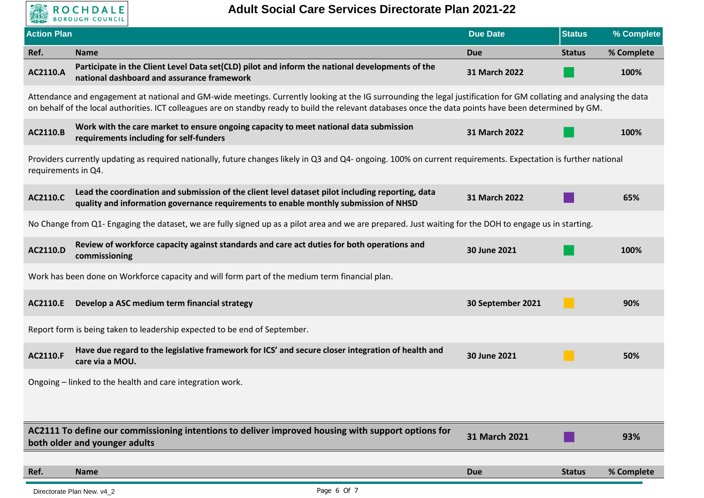

| <b>Action Plan</b>                                                                                                                                                                     |                                                                                                                                                                                                                                                                                                                                 | <b>Due Date</b>   | <b>Status</b> | % Complete |  |
|----------------------------------------------------------------------------------------------------------------------------------------------------------------------------------------|---------------------------------------------------------------------------------------------------------------------------------------------------------------------------------------------------------------------------------------------------------------------------------------------------------------------------------|-------------------|---------------|------------|--|
| Ref.                                                                                                                                                                                   | <b>Name</b>                                                                                                                                                                                                                                                                                                                     | <b>Due</b>        | <b>Status</b> | % Complete |  |
| AC2110.A                                                                                                                                                                               | Participate in the Client Level Data set(CLD) pilot and inform the national developments of the<br>national dashboard and assurance framework                                                                                                                                                                                   | 31 March 2022     |               | 100%       |  |
|                                                                                                                                                                                        | Attendance and engagement at national and GM-wide meetings. Currently looking at the IG surrounding the legal justification for GM collating and analysing the data<br>on behalf of the local authorities. ICT colleagues are on standby ready to build the relevant databases once the data points have been determined by GM. |                   |               |            |  |
| AC2110.B                                                                                                                                                                               | Work with the care market to ensure ongoing capacity to meet national data submission<br>requirements including for self-funders                                                                                                                                                                                                | 31 March 2022     |               | 100%       |  |
| Providers currently updating as required nationally, future changes likely in Q3 and Q4- ongoing. 100% on current requirements. Expectation is further national<br>requirements in Q4. |                                                                                                                                                                                                                                                                                                                                 |                   |               |            |  |
| AC2110.C                                                                                                                                                                               | Lead the coordination and submission of the client level dataset pilot including reporting, data<br>quality and information governance requirements to enable monthly submission of NHSD                                                                                                                                        | 31 March 2022     |               | 65%        |  |
|                                                                                                                                                                                        | No Change from Q1- Engaging the dataset, we are fully signed up as a pilot area and we are prepared. Just waiting for the DOH to engage us in starting.                                                                                                                                                                         |                   |               |            |  |
| AC2110.D                                                                                                                                                                               | Review of workforce capacity against standards and care act duties for both operations and<br>commissioning                                                                                                                                                                                                                     | 30 June 2021      |               | 100%       |  |
| Work has been done on Workforce capacity and will form part of the medium term financial plan.                                                                                         |                                                                                                                                                                                                                                                                                                                                 |                   |               |            |  |
| AC2110.E                                                                                                                                                                               | Develop a ASC medium term financial strategy                                                                                                                                                                                                                                                                                    | 30 September 2021 |               | 90%        |  |
|                                                                                                                                                                                        | Report form is being taken to leadership expected to be end of September.                                                                                                                                                                                                                                                       |                   |               |            |  |
| AC2110.F                                                                                                                                                                               | Have due regard to the legislative framework for ICS' and secure closer integration of health and<br>care via a MOU.                                                                                                                                                                                                            | 30 June 2021      |               | 50%        |  |
|                                                                                                                                                                                        | Ongoing - linked to the health and care integration work.                                                                                                                                                                                                                                                                       |                   |               |            |  |
|                                                                                                                                                                                        |                                                                                                                                                                                                                                                                                                                                 |                   |               |            |  |
|                                                                                                                                                                                        | AC2111 To define our commissioning intentions to deliver improved housing with support options for<br>both older and younger adults                                                                                                                                                                                             | 31 March 2021     |               | 93%        |  |
| Ref.                                                                                                                                                                                   | <b>Name</b>                                                                                                                                                                                                                                                                                                                     |                   | <b>Status</b> | % Complete |  |
|                                                                                                                                                                                        |                                                                                                                                                                                                                                                                                                                                 | <b>Due</b>        |               |            |  |